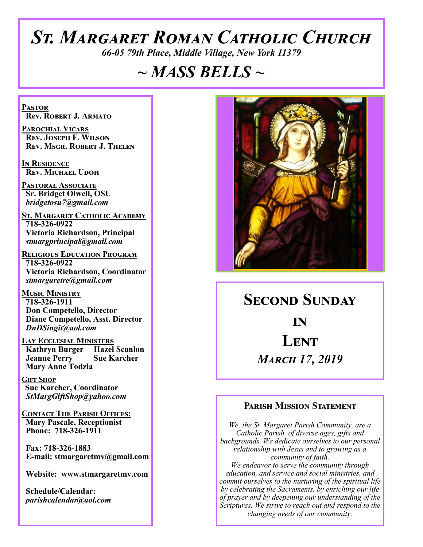# *St. Margaret Roman Catholic Church*

*66-05 79th Place, Middle Village, New York 11379*

# *~ MASS BELLS ~*

**Pastor Rev. Robert J. Armato**

**Parochial Vicars Rev. Joseph F. Wilson Rev. Msgr. Robert J. Thelen**

**In Residence Rev. Michael Udoh**

**Pastoral Associate Sr. Bridget Olwell, OSU**  *bridgetosu7@gmail.com*

**St. Margaret Catholic Academy 718-326-0922 Victoria Richardson, Principal**  *stmargprincipal@gmail.com*

**Religious Education Program 718-326-0922 Victoria Richardson, Coordinator** *stmargaretre@gmail.com*

**Music Ministry 718-326-1911 Don Competello, Director Diane Competello, Asst. Director** *DnDSingit@aol.com*

**LAY ECCLESIAL MINISTERS**<br>**Kathryn Burger Hazel Scanlon Kathryn Burger Jeanne Perry Sue Karcher Mary Anne Todzia**

**Gift Shop Sue Karcher, Coordinator** *StMargGiftShop@yahoo.com*

**Contact The Parish Offices: Mary Pascale, Receptionist Phone: 718-326-1911** 

 **Fax: 718-326-1883 E-mail: stmargaretmv@gmail.com**

 **Website: www.stmargaretmv.com**

 **Schedule/Calendar:** *parishcalendar@aol.com* 



**Second Sunday in Lent**  *March 17, 2019* 

#### **Parish Mission Statement**

*We, the St. Margaret Parish Community, are a Catholic Parish of diverse ages, gifts and backgrounds. We dedicate ourselves to our personal relationship with Jesus and to growing as a community of faith. We endeavor to serve the community through education, and service and social ministries, and commit ourselves to the nurturing of the spiritual life by celebrating the Sacraments, by enriching our life of prayer and by deepening our understanding of the Scriptures. We strive to reach out and respond to the changing needs of our community.*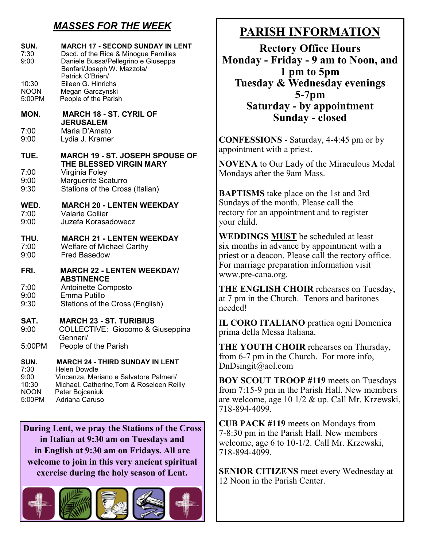# *MASSES FOR THE WEEK*

| SUN.<br>7:30<br>9:00                         | <b>MARCH 17 - SECOND SUNDAY IN LENT</b><br>Dscd. of the Rice & Minogue Families<br>Daniele Bussa/Pellegrino e Giuseppa<br>Benfari/Joseph W. Mazzola/             |
|----------------------------------------------|------------------------------------------------------------------------------------------------------------------------------------------------------------------|
| 10:30<br><b>NOON</b><br>5:00PM               | Patrick O'Brien/<br>Eileen G. Hinrichs<br>Megan Garczynski<br>People of the Parish                                                                               |
| MON.                                         | <b>MARCH 18 - ST. CYRIL OF</b>                                                                                                                                   |
| 7:00<br>9:00                                 | <b>JERUSALEM</b><br>Maria D'Amato<br>Lydia J. Kramer                                                                                                             |
| TUE.                                         | <b>MARCH 19 - ST. JOSEPH SPOUSE OF</b>                                                                                                                           |
| 7:00<br>9:00<br>9:30                         | THE BLESSED VIRGIN MARY<br>Virginia Foley<br>Marguerite Scaturro<br>Stations of the Cross (Italian)                                                              |
| WED.<br>7:00<br>9:00                         | <b>MARCH 20 - LENTEN WEEKDAY</b><br><b>Valarie Collier</b><br>Juzefa Korasadowecz                                                                                |
| THU.<br>7:00<br>9:00                         | <b>MARCH 21 - LENTEN WEEKDAY</b><br><b>Welfare of Michael Carthy</b><br><b>Fred Basedow</b>                                                                      |
| FRI.                                         | <b>MARCH 22 - LENTEN WEEKDAY/</b>                                                                                                                                |
| 7:00<br>9:00<br>9:30                         | <b>ABSTINENCE</b><br>Antoinette Composto<br>Emma Putillo<br>Stations of the Cross (English)                                                                      |
| SAT.<br>9:00                                 | <b>MARCH 23 - ST. TURIBIUS</b><br>COLLECTIVE: Giocomo & Giuseppina<br>Gennari/                                                                                   |
| 5:00PM                                       | People of the Parish                                                                                                                                             |
| SUN.<br>7:30<br>9:00<br>10:30<br><b>NOON</b> | <b>MARCH 24 - THIRD SUNDAY IN LENT</b><br>Helen Dowdle<br>Vincenza, Mariano e Salvatore Palmeri/<br>Michael, Catherine, Tom & Roseleen Reilly<br>Peter Bojceniuk |

**During Lent, we pray the Stations of the Cross in Italian at 9:30 am on Tuesdays and in English at 9:30 am on Fridays. All are welcome to join in this very ancient spiritual exercise during the holy season of Lent.** 

5:00PM Adriana Caruso



# **PARISH INFORMATION**

**Rectory Office Hours Monday - Friday - 9 am to Noon, and 1 pm to 5pm Tuesday & Wednesday evenings 5-7pm Saturday - by appointment Sunday - closed**

**CONFESSIONS** - Saturday, 4-4:45 pm or by appointment with a priest.

**NOVENA** to Our Lady of the Miraculous Medal Mondays after the 9am Mass.

**BAPTISMS** take place on the 1st and 3rd Sundays of the month. Please call the rectory for an appointment and to register your child.

**WEDDINGS MUST** be scheduled at least six months in advance by appointment with a priest or a deacon. Please call the rectory office. For marriage preparation information visit www.pre-cana.org.

**THE ENGLISH CHOIR** rehearses on Tuesday, at 7 pm in the Church. Tenors and baritones needed!

**IL CORO ITALIANO** prattica ogni Domenica prima della Messa Italiana.

**THE YOUTH CHOIR** rehearses on Thursday, from 6-7 pm in the Church. For more info, DnDsingit@aol.com

**BOY SCOUT TROOP #119** meets on Tuesdays from 7:15-9 pm in the Parish Hall. New members are welcome, age 10 1/2 & up. Call Mr. Krzewski, 718-894-4099.

**CUB PACK #119** meets on Mondays from 7-8:30 pm in the Parish Hall. New members welcome, age 6 to 10-1/2. Call Mr. Krzewski, 718-894-4099.

**SENIOR CITIZENS** meet every Wednesday at 12 Noon in the Parish Center.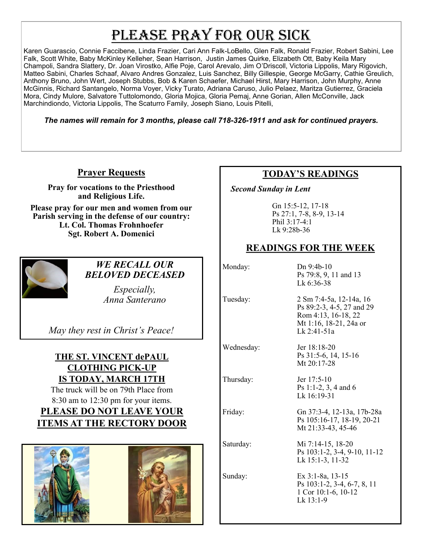# PLEASE PRAY FOR OUR SICK

Karen Guarascio, Connie Faccibene, Linda Frazier, Cari Ann Falk-LoBello, Glen Falk, Ronald Frazier, Robert Sabini, Lee Falk, Scott White, Baby McKinley Kelleher, Sean Harrison, Justin James Quirke, Elizabeth Ott, Baby Keila Mary Champoli, Sandra Slattery, Dr. Joan Virostko, Alfie Poje, Carol Arevalo, Jim O'Driscoll, Victoria Lippolis, Mary Rigovich, Matteo Sabini, Charles Schaaf, Alvaro Andres Gonzalez, Luis Sanchez, Billy Gillespie, George McGarry, Cathie Greulich, Anthony Bruno, John Wert, Joseph Stubbs, Bob & Karen Schaefer, Michael Hirst, Mary Harrison, John Murphy, Anne McGinnis, Richard Santangelo, Norma Voyer, Vicky Turato, Adriana Caruso, Julio Pelaez, Maritza Gutierrez, Graciela Mora, Cindy Mulore, Salvatore Tuttolomondo, Gloria Mojica, Gloria Pemaj, Anne Gorian, Allen McConville, Jack Marchindiondo, Victoria Lippolis, The Scaturro Family, Joseph Siano, Louis Pitelli,

*The names will remain for 3 months, please call 718-326-1911 and ask for continued prayers.*

### **Prayer Requests**

**Pray for vocations to the Priesthood and Religious Life.** 

**Please pray for our men and women from our Parish serving in the defense of our country: Lt. Col. Thomas Frohnhoefer Sgt. Robert A. Domenici** 



#### *WE RECALL OUR BELOVED DECEASED*

*Especially, Anna Santerano* 

*May they rest in Christ's Peace!*

### **THE ST. VINCENT dePAUL CLOTHING PICK-UP IS TODAY, MARCH 17TH**

The truck will be on 79th Place from 8:30 am to 12:30 pm for your items. **PLEASE DO NOT LEAVE YOUR ITEMS AT THE RECTORY DOOR**



### **TODAY'S READINGS**

 *Second Sunday in Lent* 

Gn 15:5-12, 17-18 Ps 27:1, 7-8, 8-9, 13-14 Phil 3:17-4:1 Lk 9:28b-36

### **READINGS FOR THE WEEK**

Monday: Dn 9:4b-10 Ps 79:8, 9, 11 and 13

Thursday: Jer 17:5-10

Lk 6:36-38 Tuesday: 2 Sm 7:4-5a, 12-14a, 16 Ps 89:2-3, 4-5, 27 and 29

Rom 4:13, 16-18, 22 Mt 1:16, 18-21, 24a or Lk 2:41-51a

Wednesday: Jer 18:18-20 Ps 31:5-6, 14, 15-16 Mt 20:17-28

> Ps 1:1-2, 3, 4 and 6 Lk 16:19-31

Friday: Gn 37:3-4, 12-13a, 17b-28a Ps 105:16-17, 18-19, 20-21 Mt 21:33-43, 45-46

Saturday: Mi 7:14-15, 18-20 Ps 103:1-2, 3-4, 9-10, 11-12 Lk 15:1-3, 11-32

Sunday: Ex 3:1-8a, 13-15 Ps 103:1-2, 3-4, 6-7, 8, 11 1 Cor 10:1-6, 10-12 Lk 13:1-9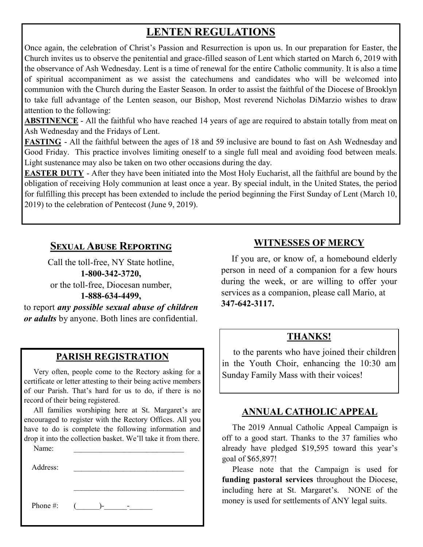# **LENTEN REGULATIONS**

Once again, the celebration of Christ's Passion and Resurrection is upon us. In our preparation for Easter, the Church invites us to observe the penitential and grace-filled season of Lent which started on March 6, 2019 with the observance of Ash Wednesday. Lent is a time of renewal for the entire Catholic community. It is also a time of spiritual accompaniment as we assist the catechumens and candidates who will be welcomed into communion with the Church during the Easter Season. In order to assist the faithful of the Diocese of Brooklyn to take full advantage of the Lenten season, our Bishop, Most reverend Nicholas DiMarzio wishes to draw attention to the following:

**ABSTINENCE** - All the faithful who have reached 14 years of age are required to abstain totally from meat on Ash Wednesday and the Fridays of Lent.

**FASTING** - All the faithful between the ages of 18 and 59 inclusive are bound to fast on Ash Wednesday and Good Friday. This practice involves limiting oneself to a single full meal and avoiding food between meals. Light sustenance may also be taken on two other occasions during the day.

**EASTER DUTY** - After they have been initiated into the Most Holy Eucharist, all the faithful are bound by the obligation of receiving Holy communion at least once a year. By special indult, in the United States, the period for fulfilling this precept has been extended to include the period beginning the First Sunday of Lent (March 10, 2019) to the celebration of Pentecost (June 9, 2019).

### **Sexual Abuse Reporting**

Call the toll-free, NY State hotline, **1-800-342-3720,** or the toll-free, Diocesan number, **1-888-634-4499,**

to report *any possible sexual abuse of children or adults* by anyone. Both lines are confidential.

### **PARISH REGISTRATION**

 Very often, people come to the Rectory asking for a certificate or letter attesting to their being active members of our Parish. That's hard for us to do, if there is no record of their being registered.

 All families worshiping here at St. Margaret's are encouraged to register with the Rectory Offices. All you have to do is complete the following information and drop it into the collection basket. We'll take it from there.

\_\_\_\_\_\_\_\_\_\_\_\_\_\_\_\_\_\_\_\_\_\_\_\_\_\_\_\_\_

Name:

Address:

Phone #: (\_\_\_\_\_\_)-\_\_\_\_\_\_-\_\_\_\_\_\_

### **WITNESSES OF MERCY**

 If you are, or know of, a homebound elderly person in need of a companion for a few hours during the week, or are willing to offer your services as a companion, please call Mario, at **347-642-3117.**

#### **THANKS!**

 to the parents who have joined their children in the Youth Choir, enhancing the 10:30 am Sunday Family Mass with their voices!

### **ANNUAL CATHOLIC APPEAL**

 The 2019 Annual Catholic Appeal Campaign is off to a good start. Thanks to the 37 families who already have pledged \$19,595 toward this year's goal of \$65,897!

 Please note that the Campaign is used for **funding pastoral services** throughout the Diocese, including here at St. Margaret's. NONE of the money is used for settlements of ANY legal suits.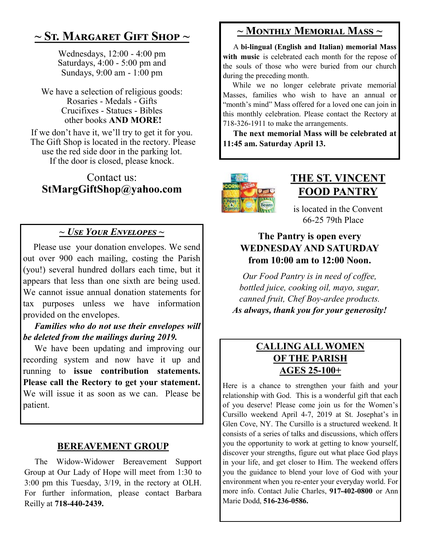# **~ St. Margaret Gift Shop ~**

Wednesdays, 12:00 - 4:00 pm Saturdays, 4:00 - 5:00 pm and Sundays, 9:00 am - 1:00 pm

We have a selection of religious goods: Rosaries - Medals - Gifts Crucifixes - Statues - Bibles other books **AND MORE!**

If we don't have it, we'll try to get it for you. The Gift Shop is located in the rectory. Please use the red side door in the parking lot. If the door is closed, please knock.

### Contact us: **StMargGiftShop@yahoo.com**

### *~ Use Your Envelopes ~*

Please use your donation envelopes. We send out over 900 each mailing, costing the Parish (you!) several hundred dollars each time, but it appears that less than one sixth are being used. We cannot issue annual donation statements for tax purposes unless we have information provided on the envelopes.

 *Families who do not use their envelopes will be deleted from the mailings during 2019.*

 We have been updating and improving our recording system and now have it up and running to **issue contribution statements. Please call the Rectory to get your statement.**  We will issue it as soon as we can. Please be patient.

### **BEREAVEMENT GROUP**

 The Widow-Widower Bereavement Support Group at Our Lady of Hope will meet from 1:30 to 3:00 pm this Tuesday, 3/19, in the rectory at OLH. For further information, please contact Barbara Reilly at **718-440-2439.**

# **~ Monthly Memorial Mass ~**

 A **bi-lingual (English and Italian) memorial Mass**  with music is celebrated each month for the repose of the souls of those who were buried from our church during the preceding month.

 While we no longer celebrate private memorial Masses, families who wish to have an annual or "month's mind" Mass offered for a loved one can join in this monthly celebration. Please contact the Rectory at 718-326-1911 to make the arrangements.

 **The next memorial Mass will be celebrated at 11:45 am. Saturday April 13.** 



# **THE ST. VINCENT FOOD PANTRY**

is located in the Convent 66-25 79th Place

### **The Pantry is open every WEDNESDAY AND SATURDAY from 10:00 am to 12:00 Noon.**

*Our Food Pantry is in need of coffee, bottled juice, cooking oil, mayo, sugar, canned fruit, Chef Boy-ardee products. As always, thank you for your generosity!*

### **CALLING ALL WOMEN OF THE PARISH AGES 25-100+**

Here is a chance to strengthen your faith and your relationship with God. This is a wonderful gift that each of you deserve! Please come join us for the Women's Cursillo weekend April 4-7, 2019 at St. Josephat's in Glen Cove, NY. The Cursillo is a structured weekend. It consists of a series of talks and discussions, which offers you the opportunity to work at getting to know yourself, discover your strengths, figure out what place God plays in your life, and get closer to Him. The weekend offers you the guidance to blend your love of God with your environment when you re-enter your everyday world. For more info. Contact Julie Charles, **917-402-0800** or Ann Marie Dodd, **516-236-0586.**